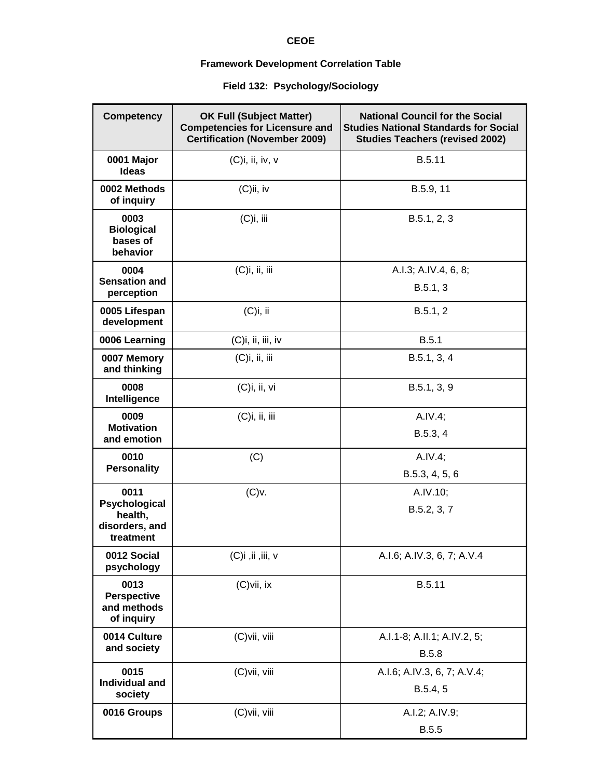## **CEOE**

## **Framework Development Correlation Table**

## **Field 132: Psychology/Sociology**

| <b>Competency</b>                                       | <b>OK Full (Subject Matter)</b><br><b>Competencies for Licensure and</b><br><b>Certification (November 2009)</b> | <b>National Council for the Social</b><br><b>Studies National Standards for Social</b><br><b>Studies Teachers (revised 2002)</b> |
|---------------------------------------------------------|------------------------------------------------------------------------------------------------------------------|----------------------------------------------------------------------------------------------------------------------------------|
| 0001 Major<br><b>Ideas</b>                              | $(C)$ i, ii, iv, v                                                                                               | B.5.11                                                                                                                           |
| 0002 Methods<br>of inquiry                              | $(C)$ ii, iv                                                                                                     | B.5.9, 11                                                                                                                        |
| 0003<br><b>Biological</b><br>bases of<br>behavior       | (C)i, iii                                                                                                        | B.5.1, 2, 3                                                                                                                      |
| 0004<br><b>Sensation and</b><br>perception              | $(C)$ i, ii, iii                                                                                                 | A.I.3; A.IV.4, 6, 8;<br>B.5.1, 3                                                                                                 |
| 0005 Lifespan<br>development                            | (C)i, ii                                                                                                         | B.5.1, 2                                                                                                                         |
| 0006 Learning                                           | $(C)$ i, ii, iii, iv                                                                                             | B.5.1                                                                                                                            |
| 0007 Memory<br>and thinking                             | $(C)$ i, ii, iii                                                                                                 | B.5.1, 3, 4                                                                                                                      |
| 0008<br>Intelligence                                    | (C)i, ii, vi                                                                                                     | B.5.1, 3, 9                                                                                                                      |
| 0009                                                    | $(C)$ i, ii, iii                                                                                                 | A.IV.4;                                                                                                                          |
| <b>Motivation</b><br>and emotion                        |                                                                                                                  | B.5.3, 4                                                                                                                         |
| 0010<br><b>Personality</b>                              | (C)                                                                                                              | A.IV.4;                                                                                                                          |
|                                                         |                                                                                                                  | B.5.3, 4, 5, 6                                                                                                                   |
| 0011<br>Psychological                                   | (C)v.                                                                                                            | A.IV.10;                                                                                                                         |
| health,<br>disorders, and<br>treatment                  |                                                                                                                  | B.5.2, 3, 7                                                                                                                      |
| 0012 Social<br>psychology                               | $(C)$ i, ii, iii, v                                                                                              | A.I.6; A.IV.3, 6, 7; A.V.4                                                                                                       |
| 0013<br><b>Perspective</b><br>and methods<br>of inquiry | (C)vii, ix                                                                                                       | B.5.11                                                                                                                           |
| 0014 Culture<br>and society                             | (C)vii, viii                                                                                                     | A.I.1-8; A.II.1; A.IV.2, 5;<br><b>B.5.8</b>                                                                                      |
| 0015                                                    | (C)vii, viii                                                                                                     | A.I.6; A.IV.3, 6, 7; A.V.4;                                                                                                      |
| <b>Individual and</b><br>society                        |                                                                                                                  | B.5.4, 5                                                                                                                         |
| 0016 Groups                                             | (C)vii, viii                                                                                                     | A.I.2; A.IV.9;                                                                                                                   |
|                                                         |                                                                                                                  | <b>B.5.5</b>                                                                                                                     |